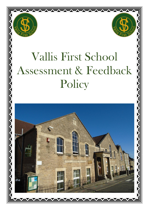



# Vallis First School Assessment & Feedback Policy

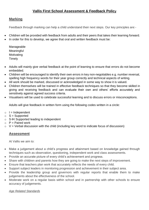# **Vallis First School Assessment & Feedback Policy**

### **Marking**

Feedback through marking can help a child understand their next steps. Our key principles are:-

- Children will be provided with feedback from adults and their peers that takes their learning forward.
- In order for this to develop, we agree that oral and written feedback must be:

Manageable **Meaningful** Motivating **Timely** 

- Adults will mainly give verbal feedback at the point of learning to ensure that errors do not become embedded.
- Children will be encouraged to identify their own errors in key non-negotiables e.g. number reversal, spelling high frequency words for their year group correctly and technical aspects of writing.
- All work should be marked, discussed or acknowledged in some way to show it is valued.
- Children themselves will be trained in effective feedback techniques so that they become skilled in giving and receiving feedback and can evaluate their own and others' efforts accurately and sensitively against agreed success criteria.
- Visualisers will be used to celebrate successful learning and to discuss errors or misconceptions.

Adults will give feedback in written form using the following codes written in a circle:

- $\circ$  I = Independent
- $\circ$  S = Supported
- $\circ$  S $\rightarrow$ I Supported leading to independent
- $\circ$  P = Paired work
- $\circ$  V = Verbal discussion with the child (including key word to indicate focus of discussion)

## **Assessment**

At Vallis we aim to:

- Make a judgement about a child's progress and attainment based on knowledge gained through techniques such as observation, questioning, independent work and class assessments.
- Provide an accurate picture of every child's achievement and progress.
- Share with children and parents how they are going to make the next steps of improvement.
- Ensure that teachers plan work that accurately reflects the needs of every child.
- Support subject leaders in monitoring progression and achievement in their subject area.
- Provide the leadership group and governors with regular reports that enable them to make judgements about the effectiveness of the school.
- Moderate work on a regular basis within school and in partnership with other schools to ensure accuracy of judgements.

*Age Related Standards*